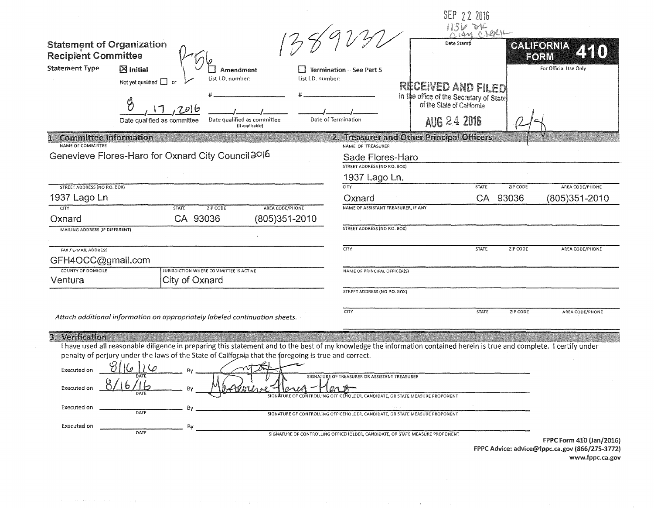| <b>Statement of Organization</b><br><b>Recipient Committee</b><br><b>Statement Type</b> | $\boxtimes$ Initial<br>Amendment<br>List I.D. number:<br>Not yet qualified $\square$<br>Date qualified as committee<br>Date qualified as committee<br>(If applicable)                                                                                                           | List I.D. number:                                                            | <b>Termination - See Part 5</b><br>Date of Termination                | Date Stam<br>RECEIVED AND FILED<br>in the office of the Secretary of State<br><b>AUG 24 2016</b> | SEP 72 2016  | <b>CALIFORNIA</b><br>EORM | For Official Use Only                          |
|-----------------------------------------------------------------------------------------|---------------------------------------------------------------------------------------------------------------------------------------------------------------------------------------------------------------------------------------------------------------------------------|------------------------------------------------------------------------------|-----------------------------------------------------------------------|--------------------------------------------------------------------------------------------------|--------------|---------------------------|------------------------------------------------|
| <b>Committee Information</b>                                                            |                                                                                                                                                                                                                                                                                 |                                                                              |                                                                       | 2. Treasurer and Other Principal Officers                                                        |              |                           |                                                |
| NAME OF COMMITTEE                                                                       | Genevieve Flores-Haro for Oxnard City Council 3016                                                                                                                                                                                                                              |                                                                              | NAME OF TREASURER<br>Sade Flores-Haro<br>STREET ADDRESS (NO P.O. BOX) |                                                                                                  |              |                           |                                                |
|                                                                                         |                                                                                                                                                                                                                                                                                 |                                                                              | 1937 Lago Ln.                                                         |                                                                                                  |              |                           |                                                |
| STREET ADDRESS (NO P.O. BOX)                                                            |                                                                                                                                                                                                                                                                                 |                                                                              | <b>CITY</b>                                                           |                                                                                                  | <b>STATE</b> | ZIP CODE                  | AREA CODE/PHONE                                |
| 1937 Lago Ln<br>CITY                                                                    | <b>STATE</b><br>ZIP CODE                                                                                                                                                                                                                                                        | AREA CODE/PHONE                                                              | Oxnard<br>NAME OF ASSISTANT TREASURER, IF ANY                         |                                                                                                  | CA           | 93036                     | (805)351-2010                                  |
| Oxnard                                                                                  | CA 93036                                                                                                                                                                                                                                                                        | (805)351-2010                                                                |                                                                       |                                                                                                  |              |                           |                                                |
| MAILING ADDRESS (IF DIFFERENT)                                                          |                                                                                                                                                                                                                                                                                 |                                                                              | <b>STREET ADDRESS (NO P.O. BOX)</b>                                   |                                                                                                  |              |                           |                                                |
| FAX / E-MAIL ADDRESS                                                                    |                                                                                                                                                                                                                                                                                 |                                                                              | CITY                                                                  |                                                                                                  | STATE        | ZIP CODE                  | AREA CODE/PHONE                                |
| GFH4OCC@gmail.com                                                                       |                                                                                                                                                                                                                                                                                 |                                                                              |                                                                       |                                                                                                  |              |                           |                                                |
| <b>COUNTY OF DOMICILE</b>                                                               | JURISDICTION WHERE COMMITTEE IS ACTIVE                                                                                                                                                                                                                                          |                                                                              | NAME OF PRINCIPAL OFFICER(S)                                          |                                                                                                  |              |                           |                                                |
| Ventura                                                                                 | City of Oxnard                                                                                                                                                                                                                                                                  |                                                                              |                                                                       |                                                                                                  |              |                           |                                                |
|                                                                                         |                                                                                                                                                                                                                                                                                 |                                                                              | STREET ADDRESS (NO P.O. BOX)                                          |                                                                                                  |              |                           |                                                |
|                                                                                         | Attach additional information on appropriately labeled continuation sheets.                                                                                                                                                                                                     |                                                                              | <b>CITY</b>                                                           |                                                                                                  | <b>STATE</b> | ZIP CODE                  | AREA CODE/PHONE                                |
| 3. Verification                                                                         | I have used all reasonable diligence in preparing this statement and to the best of my knowledge the information contained herein is true and complete. I certify under<br>penalty of perjury under the laws of the State of California that the foregoing is true and correct. |                                                                              |                                                                       |                                                                                                  |              |                           |                                                |
|                                                                                         |                                                                                                                                                                                                                                                                                 |                                                                              |                                                                       |                                                                                                  |              |                           |                                                |
| <b>Executed on</b>                                                                      | 8116116                                                                                                                                                                                                                                                                         |                                                                              | SIGNATURE OF TREASURER OR ASSISTANT TREASURER                         |                                                                                                  |              |                           |                                                |
|                                                                                         |                                                                                                                                                                                                                                                                                 |                                                                              | CONTROLLING OFFICEHOLDER, CANDIDATE, OR STATE MEASURE PROPONENT       |                                                                                                  |              |                           |                                                |
| Executed on                                                                             | Bv<br>DATE                                                                                                                                                                                                                                                                      | SIGNATURE OF CONTROLLING OFFICEHOLDER, CANDIDATE, OR STATE MEASURE PROPONENT |                                                                       |                                                                                                  |              |                           |                                                |
| Executed on                                                                             | By                                                                                                                                                                                                                                                                              |                                                                              |                                                                       |                                                                                                  |              |                           |                                                |
|                                                                                         | DATE                                                                                                                                                                                                                                                                            | SIGNATURE OF CONTROLLING OFFICEHOLDER, CANDIDATE, OR STATE MEASURE PROPONENT |                                                                       |                                                                                                  |              |                           | FPPC Form 410 (Jan/2016)                       |
|                                                                                         |                                                                                                                                                                                                                                                                                 |                                                                              |                                                                       |                                                                                                  |              |                           | FPPC Advice: advice@fppc.ca.gov (866/275-3772) |

www.fppc.ca.gov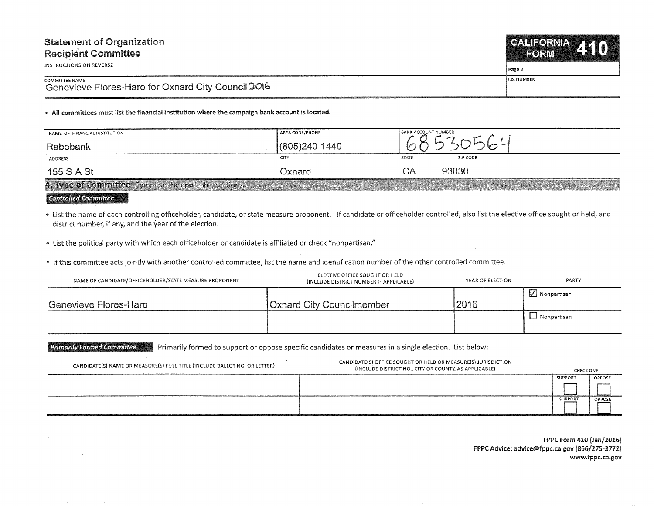| <b>Statement of Organization</b>                                            | CALIFORNIA 110     |
|-----------------------------------------------------------------------------|--------------------|
| <b>Recipient Committee</b>                                                  | VEORIVA            |
| INSTRUCTIONS ON REVERSE                                                     | l Page 2           |
| <b>COMMITTEE NAME</b><br>Genevieve Flores-Haro for Oxnard City Council 2016 | <b>I.D. NUMBER</b> |

• All committees must list the financial institution where the campaign bank account is located.

| NAME OF FINANCIAL INSTITUTION                          | AREA CODE/PHONE | <b>BANK ACCOUNT NUMBER</b> |          |  |
|--------------------------------------------------------|-----------------|----------------------------|----------|--|
| Rabobank                                               | (805)240-1440   |                            |          |  |
| ADDRESS                                                | CITY            | <b>STATE</b>               | ZIP CODE |  |
| 155 S A St                                             | Oxnard          | СA                         | 93030    |  |
| 4. Type of Committee Complete the applicable sections. |                 |                            |          |  |

**'Gont:r@flefJ 'Gommittee** 

 $\mathcal{L}^{\mathcal{L}}$ 

• list the name of each controlling officeholder, candidate, or state measure proponent. If candidate or officeholder controlled, also list the elective office sought or held, and district number, if any, and the year of the election.

• list the political party with which each officeholder or candidate is affiliated or check "nonpartisan."

• If this committee acts jointly with another controlled committee, list the name and identification number of the other controlled committee.

| NAME OF CANDIDATE/OFFICEHOLDER/STATE MEASURE PROPONENT | ELECTIVE OFFICE SOUGHT OR HELD<br>(INCLUDE DISTRICT NUMBER IF APPLICABLE) | YEAR OF ELECTION | PARTY         |
|--------------------------------------------------------|---------------------------------------------------------------------------|------------------|---------------|
| Genevieve Flores-Haro                                  | <b>Oxnard City Councilmember</b>                                          | 2016             | ∐ Nonpartisan |
|                                                        |                                                                           |                  | l Nonpartisan |

Primarily Formed Committee **Primarily formed to support or oppose specific candidates or measures in a single election. List below:** 

| CANDIDATE(S) NAME OR MEASURE(S) FULL TITLE (INCLUDE BALLOT NO. OR LETTER) | CANDIDATE(S) OFFICE SOUGHT OR HELD OR MEASURE(S) JURISDICTION<br>(INCLUDE DISTRICT NO., CITY OR COUNTY, AS APPLICABLE) | <b>CHECK ONE</b> |        |
|---------------------------------------------------------------------------|------------------------------------------------------------------------------------------------------------------------|------------------|--------|
|                                                                           |                                                                                                                        | SUPPORT          | OPPOSE |
|                                                                           |                                                                                                                        |                  |        |
|                                                                           |                                                                                                                        | <b>SUPPORT</b>   | OPPOSE |
|                                                                           |                                                                                                                        |                  |        |
|                                                                           |                                                                                                                        |                  |        |

FPPC Form 410 (Jan/2016) FPPC Advice: advice@fppc.ca.gov (866/275-3772) www.fppc.ca.gov

 $\sim$